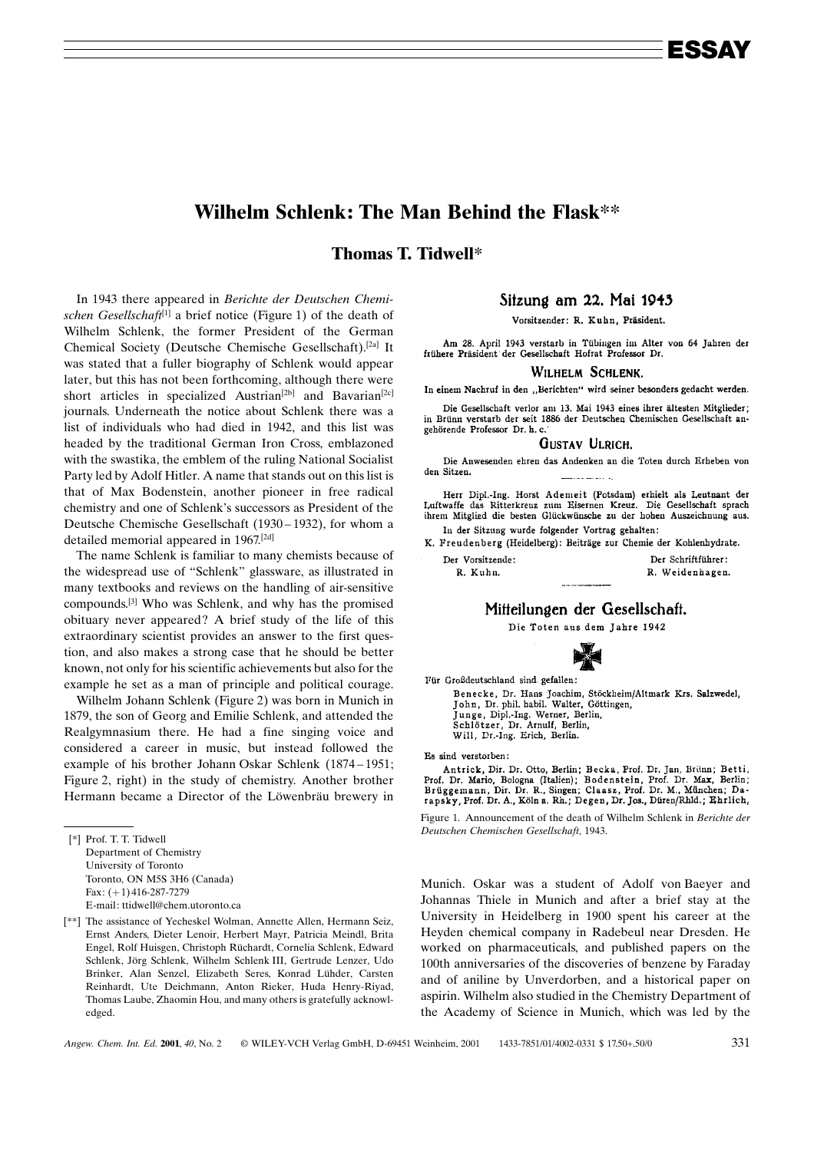# Wilhelm Schlenk: The Man Behind the Flask\*\*

Thomas T. Tidwell\*

In 1943 there appeared in Berichte der Deutschen Chemischen Gesellschaft<sup>[1]</sup> a brief notice (Figure 1) of the death of Wilhelm Schlenk, the former President of the German Chemical Society (Deutsche Chemische Gesellschaft).[2a] It was stated that a fuller biography of Schlenk would appear later, but this has not been forthcoming, although there were short articles in specialized Austrian<sup>[2b]</sup> and Bavarian<sup>[2c]</sup> journals. Underneath the notice about Schlenk there was a list of individuals who had died in 1942, and this list was headed by the traditional German Iron Cross, emblazoned with the swastika, the emblem of the ruling National Socialist Party led by Adolf Hitler. A name that stands out on this list is that of Max Bodenstein, another pioneer in free radical chemistry and one of Schlenk's successors as President of the Deutsche Chemische Gesellschaft (1930–1932), for whom a detailed memorial appeared in 1967.[2d]

The name Schlenk is familiar to many chemists because of the widespread use of "Schlenk" glassware, as illustrated in many textbooks and reviews on the handling of air-sensitive compounds.[3] Who was Schlenk, and why has the promised obituary never appeared? A brief study of the life of this extraordinary scientist provides an answer to the first question, and also makes a strong case that he should be better known, not only for his scientific achievements but also for the example he set as a man of principle and political courage.

Wilhelm Johann Schlenk (Figure 2) was born in Munich in 1879, the son of Georg and Emilie Schlenk, and attended the Realgymnasium there. He had a fine singing voice and considered a career in music, but instead followed the example of his brother Johann Oskar Schlenk (1874–1951; Figure 2, right) in the study of chemistry. Another brother Hermann became a Director of the Löwenbräu brewery in

[\*] Prof. T. T. Tidwell Department of Chemistry University of Toronto Toronto, ON M5S 3H6 (Canada)  $Fax: (+1)$  416-287-7279 E-mail: ttidwell@chem.utoronto.ca

### Sitzung am 22. Mai 1943

Vorsitzender: R. Kuhn. Präsident.

Am 28. April 1943 verstarb in Tübingen im Alter von 64 Jahren der frühere Präsident der Gesellschaft Hofrat Professor Dr.

#### WILHELM SCHLENK.

In einem Nachruf in den "Berichten" wird seiner besonders gedacht werden.

Die Gesellschaft verlor am 13. Mai 1943 eines ihrer ältesten Mitzlieder: in Brünn verstarb der seit 1886 der Deutschen Chemischen Gesellschaft angehörende Professor Dr. h. c.

## **GUSTAV ULRICH.**

Die Anwesenden ehren das Andenken an die Toten durch Erheben von den Sitzen.

Herr Dipl.-Ing. Horst Ademeit (Potsdam) erhielt als Leutnant der Luftwaffe das Ritterkreuz zum Eisernen Kreuz. Die Gesellschaft sprach ihrem Mitglied die besten Glückwünsche zu der hohen Auszeichnung aus. In der Sitzung wurde folgender Vortrag gehalten:

K. Freudenberg (Heidelberg): Beiträge zur Chemie der Kohlenhydrate.

| er Vorsitzende: |  |
|-----------------|--|
| R. Kuhn.        |  |

Der Schriftführer: R. Weidenhagen.

# Mitteilungen der Gesellschaft.

Die Toten aus dem Jahre 1942



Für Großdeutschland sind gefallen: Benecke, Dr. Hans Joachim, Stöckheim/Altmark Krs. Salzwedel, John, Dr. phil. habil. Walter, Göttingen, Junge, Dipl.-Ing. Werner, Berlin, Schlötzer, Dr. Arnulf, Berlin, Will, Dr.-Ing. Erich, Berlin.

Es sind verstorben:

 $\mathbf{D}$ 

Antrick, Dir. Dr. Otto, Berlin; Becka, Prof. Dr. Jan, Brünn; Betti, Prof. Dr. Mario, Bologna (Italien); Bodenstein, Prof. Dr. Max, Berlin; Brüggemann, Dir. Dr. R., Singen; Claasz, Prof. Dr. M., München; Darapsky, Prof. Dr. A., Köln a. Rh.; Degen, Dr. Jos., Düren/Rhld.; Ehrlich,

Figure 1. Announcement of the death of Wilhelm Schlenk in Berichte der Deutschen Chemischen Gesellschaft, 1943.

Munich. Oskar was a student of Adolf von Baeyer and Johannas Thiele in Munich and after a brief stay at the University in Heidelberg in 1900 spent his career at the Heyden chemical company in Radebeul near Dresden. He worked on pharmaceuticals, and published papers on the 100th anniversaries of the discoveries of benzene by Faraday and of aniline by Unverdorben, and a historical paper on aspirin. Wilhelm also studied in the Chemistry Department of the Academy of Science in Munich, which was led by the

<sup>[\*\*]</sup> The assistance of Yecheskel Wolman, Annette Allen, Hermann Seiz, Ernst Anders, Dieter Lenoir, Herbert Mayr, Patricia Meindl, Brita Engel, Rolf Huisgen, Christoph Rüchardt, Cornelia Schlenk, Edward Schlenk, Jörg Schlenk, Wilhelm Schlenk III, Gertrude Lenzer, Udo Brinker, Alan Senzel, Elizabeth Seres, Konrad Lühder, Carsten Reinhardt, Ute Deichmann, Anton Rieker, Huda Henry-Riyad, Thomas Laube, Zhaomin Hou, and many others is gratefully acknowledged.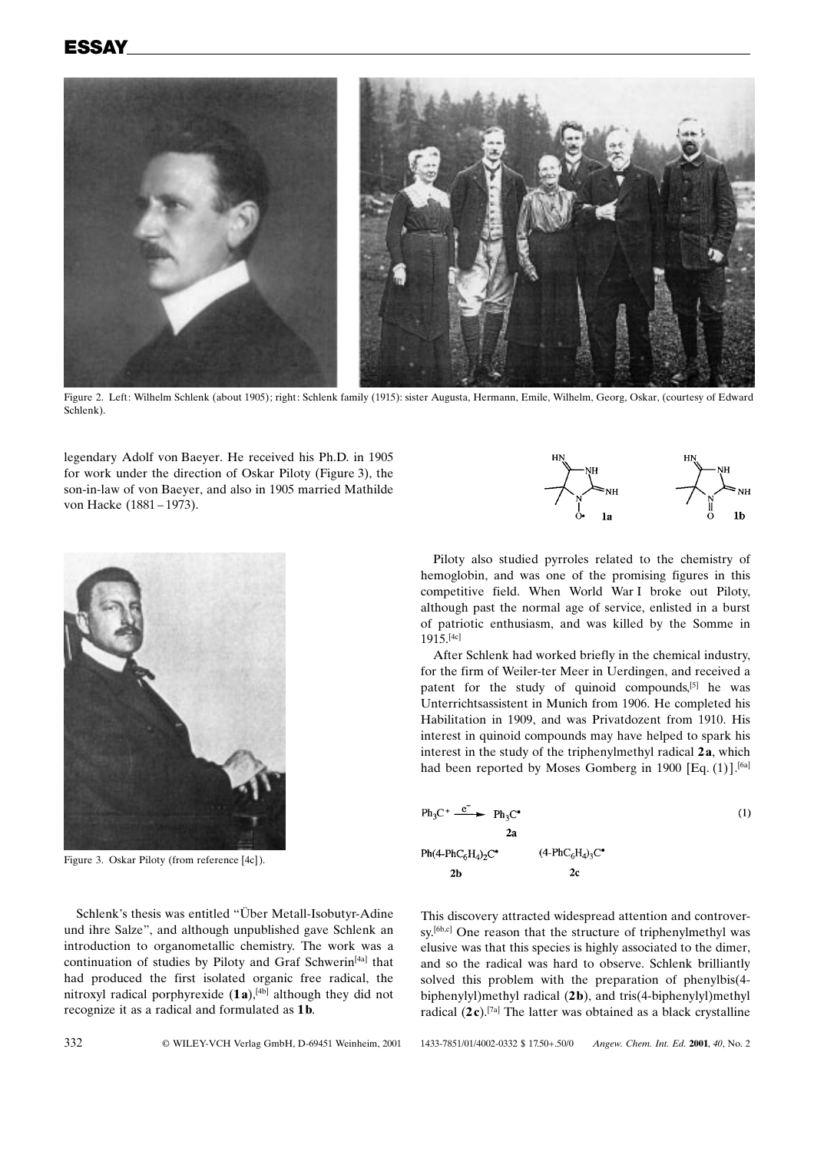

Figure 2. Left: Wilhelm Schlenk (about 1905); right: Schlenk family (1915): sister Augusta, Hermann, Emile, Wilhelm, Georg, Oskar, (courtesy of Edward Schlenk).

legendary Adolf von Baeyer. He received his Ph.D. in 1905 for work under the direction of Oskar Piloty (Figure 3), the son-in-law of von Baeyer, and also in 1905 married Mathilde von Hacke  $(1881 - 1973)$ .



Figure 3. Oskar Piloty (from reference [4c]).

Schlenk's thesis was entitled "Über Metall-Isobutyr-Adine und ihre Salzeº, and although unpublished gave Schlenk an introduction to organometallic chemistry. The work was a continuation of studies by Piloty and Graf Schwerin<sup>[4a]</sup> that had produced the first isolated organic free radical, the nitroxyl radical porphyrexide  $(1a)$ ,<sup>[4b]</sup> although they did not recognize it as a radical and formulated as 1b.

$$
\begin{array}{c}\n\begin{array}{ccc}\n\text{H}\text{N} \\
\text{N}\n\end{array} \\
\begin{array}{ccc}\n\text{N}\text{H}\n\end{array}\n\end{array}
$$

Piloty also studied pyrroles related to the chemistry of hemoglobin, and was one of the promising figures in this competitive field. When World War I broke out Piloty, although past the normal age of service, enlisted in a burst of patriotic enthusiasm, and was killed by the Somme in 1915.[4c]

After Schlenk had worked briefly in the chemical industry, for the firm of Weiler-ter Meer in Uerdingen, and received a patent for the study of quinoid compounds,<sup>[5]</sup> he was Unterrichtsassistent in Munich from 1906. He completed his Habilitation in 1909, and was Privatdozent from 1910. His interest in quinoid compounds may have helped to spark his interest in the study of the triphenylmethyl radical 2a, which had been reported by Moses Gomberg in 1900 [Eq. (1)].<sup>[6a]</sup>

$$
Ph_3C^+ \xrightarrow{e^-} Ph_3C^*
$$
\n
$$
2a
$$
\n
$$
Ph(4-PhC_6H_4)_2C^*
$$
\n
$$
2b
$$
\n
$$
(4-PhC_6H_4)_3C^*
$$
\n
$$
2c
$$
\n
$$
(1)
$$

This discovery attracted widespread attention and controversy.<sup>[6b,c]</sup> One reason that the structure of triphenylmethyl was elusive was that this species is highly associated to the dimer, and so the radical was hard to observe. Schlenk brilliantly solved this problem with the preparation of phenylbis(4 biphenylyl)methyl radical (2b), and tris(4-biphenylyl)methyl radical  $(2c)$ .<sup>[7a]</sup> The latter was obtained as a black crystalline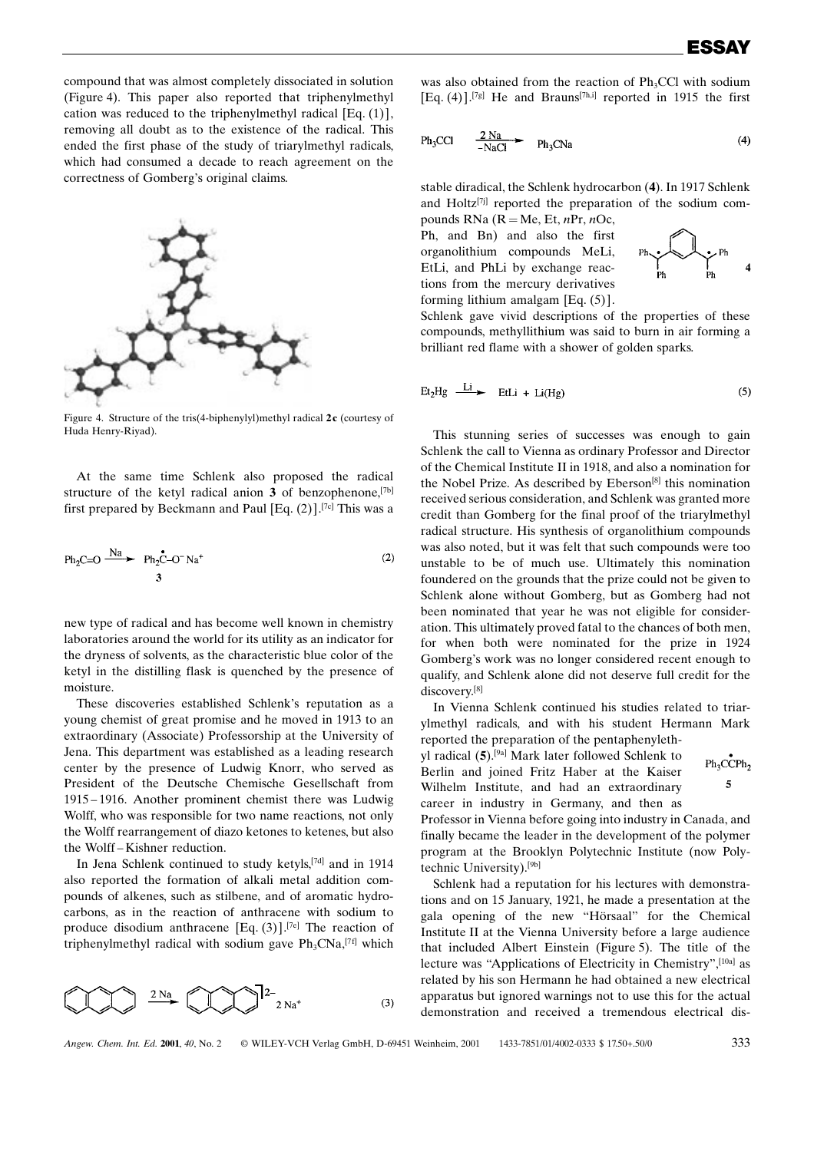ESSAY

compound that was almost completely dissociated in solution (Figure 4). This paper also reported that triphenylmethyl cation was reduced to the triphenylmethyl radical [Eq. (1)], removing all doubt as to the existence of the radical. This ended the first phase of the study of triarylmethyl radicals, which had consumed a decade to reach agreement on the correctness of Gomberg's original claims.



Figure 4. Structure of the tris(4-biphenylyl)methyl radical 2c (courtesy of Huda Henry-Riyad).

At the same time Schlenk also proposed the radical structure of the ketyl radical anion 3 of benzophenone,<sup>[7b]</sup> first prepared by Beckmann and Paul  $[Eq. (2)]$ .<sup>[7c]</sup> This was a

$$
Ph_2C=O \xrightarrow{Na} Ph_2C-C-Na^+ \tag{2}
$$

new type of radical and has become well known in chemistry laboratories around the world for its utility as an indicator for the dryness of solvents, as the characteristic blue color of the ketyl in the distilling flask is quenched by the presence of moisture.

These discoveries established Schlenk's reputation as a young chemist of great promise and he moved in 1913 to an extraordinary (Associate) Professorship at the University of Jena. This department was established as a leading research center by the presence of Ludwig Knorr, who served as President of the Deutsche Chemische Gesellschaft from 1915-1916. Another prominent chemist there was Ludwig Wolff, who was responsible for two name reactions, not only the Wolff rearrangement of diazo ketones to ketenes, but also the Wolff-Kishner reduction.

In Jena Schlenk continued to study ketyls,<sup>[7d]</sup> and in 1914 also reported the formation of alkali metal addition compounds of alkenes, such as stilbene, and of aromatic hydrocarbons, as in the reaction of anthracene with sodium to produce disodium anthracene [Eq. (3)]. [7e] The reaction of triphenylmethyl radical with sodium gave  $Ph<sub>3</sub>CNa<sub>1</sub>$ <sup>[7f]</sup> which



was also obtained from the reaction of Ph<sub>3</sub>CCl with sodium [Eq. (4)].<sup>[7g]</sup> He and Brauns<sup>[7h,i]</sup> reported in 1915 the first

$$
Ph3CCI \t\t -NaCl \t\t Ph3CNa \t\t (4)
$$

stable diradical, the Schlenk hydrocarbon (4). In 1917 Schlenk and Holtz[7j] reported the preparation of the sodium compounds RNa  $(R = Me, Et, nPr, nOc)$ ,

Ph, and Bn) and also the first organolithium compounds MeLi, EtLi, and PhLi by exchange reactions from the mercury derivatives forming lithium amalgam [Eq. (5)].



Schlenk gave vivid descriptions of the properties of these compounds, methyllithium was said to burn in air forming a brilliant red flame with a shower of golden sparks.

$$
Et_2Hg \xrightarrow{Li} EtLi + Li(Hg) \tag{5}
$$

This stunning series of successes was enough to gain Schlenk the call to Vienna as ordinary Professor and Director of the Chemical Institute II in 1918, and also a nomination for the Nobel Prize. As described by Eberson[8] this nomination received serious consideration, and Schlenk was granted more credit than Gomberg for the final proof of the triarylmethyl radical structure. His synthesis of organolithium compounds was also noted, but it was felt that such compounds were too unstable to be of much use. Ultimately this nomination foundered on the grounds that the prize could not be given to Schlenk alone without Gomberg, but as Gomberg had not been nominated that year he was not eligible for consideration. This ultimately proved fatal to the chances of both men, for when both were nominated for the prize in 1924 Gomberg's work was no longer considered recent enough to qualify, and Schlenk alone did not deserve full credit for the discovery. [8]

In Vienna Schlenk continued his studies related to triarylmethyl radicals, and with his student Hermann Mark reported the preparation of the pentaphenyleth-

yl radical  $(5)$ .<sup>[9a]</sup> Mark later followed Schlenk to Berlin and joined Fritz Haber at the Kaiser Wilhelm Institute, and had an extraordinary career in industry in Germany, and then as

 $Ph_3C$ CPh<sub>2</sub>  $\overline{\mathbf{s}}$ 

Professor in Vienna before going into industry in Canada, and finally became the leader in the development of the polymer program at the Brooklyn Polytechnic Institute (now Polytechnic University).[9b]

Schlenk had a reputation for his lectures with demonstrations and on 15 January, 1921, he made a presentation at the gala opening of the new ªHörsaalº for the Chemical Institute II at the Vienna University before a large audience that included Albert Einstein (Figure 5). The title of the lecture was ªApplications of Electricity in Chemistryº,[10a] as related by his son Hermann he had obtained a new electrical apparatus but ignored warnings not to use this for the actual demonstration and received a tremendous electrical dis-

Angew. Chem. Int. Ed. 2001, 40, No. 2 WILEY-VCH Verlag GmbH, D-69451 Weinheim, 2001 1433-7851/01/4002-0333 \$ 17.50+.50/0 333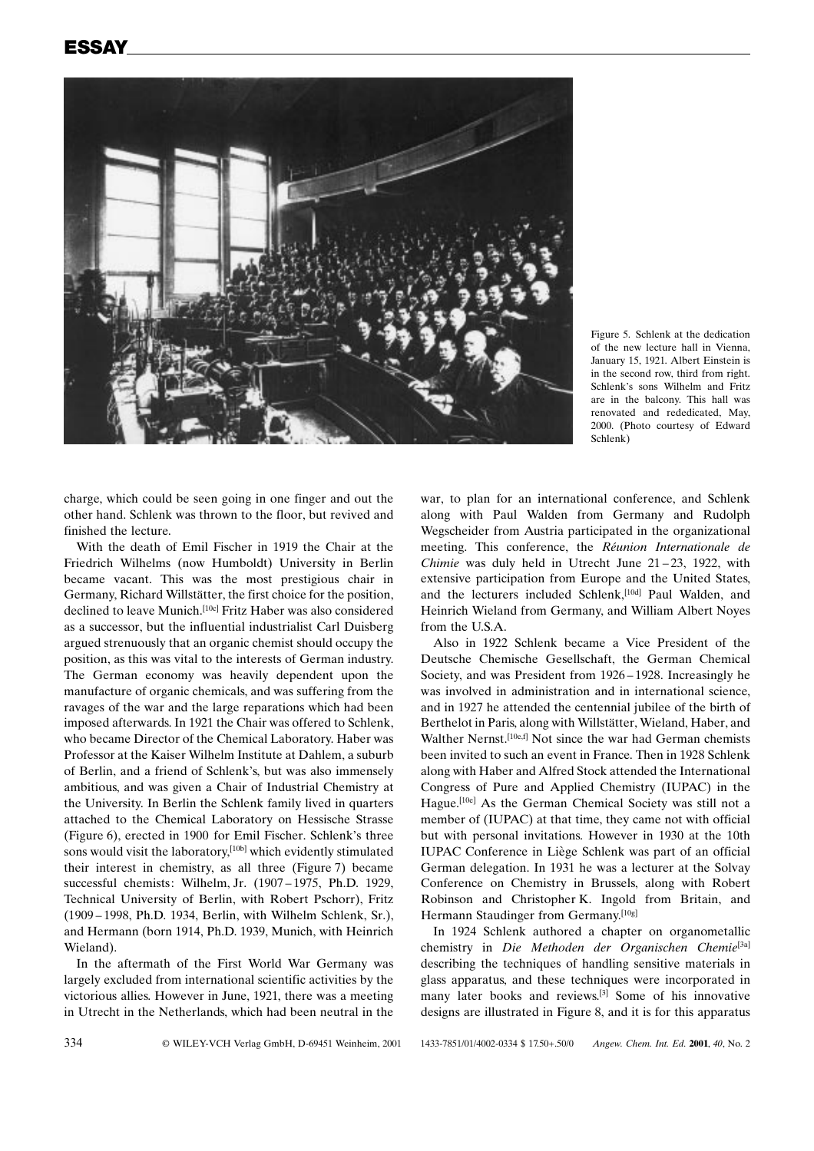

Figure 5. Schlenk at the dedication of the new lecture hall in Vienna, January 15, 1921. Albert Einstein is in the second row, third from right. Schlenk's sons Wilhelm and Fritz are in the balcony. This hall was renovated and rededicated, May, 2000. (Photo courtesy of Edward Schlenk)

charge, which could be seen going in one finger and out the other hand. Schlenk was thrown to the floor, but revived and finished the lecture.

With the death of Emil Fischer in 1919 the Chair at the Friedrich Wilhelms (now Humboldt) University in Berlin became vacant. This was the most prestigious chair in Germany, Richard Willstätter, the first choice for the position, declined to leave Munich.[10c] Fritz Haber was also considered as a successor, but the influential industrialist Carl Duisberg argued strenuously that an organic chemist should occupy the position, as this was vital to the interests of German industry. The German economy was heavily dependent upon the manufacture of organic chemicals, and was suffering from the ravages of the war and the large reparations which had been imposed afterwards. In 1921 the Chair was offered to Schlenk, who became Director of the Chemical Laboratory. Haber was Professor at the Kaiser Wilhelm Institute at Dahlem, a suburb of Berlin, and a friend of Schlenk's, but was also immensely ambitious, and was given a Chair of Industrial Chemistry at the University. In Berlin the Schlenk family lived in quarters attached to the Chemical Laboratory on Hessische Strasse (Figure 6), erected in 1900 for Emil Fischer. Schlenk's three sons would visit the laboratory, [10b] which evidently stimulated their interest in chemistry, as all three (Figure 7) became successful chemists: Wilhelm, Jr. (1907-1975, Ph.D. 1929, Technical University of Berlin, with Robert Pschorr), Fritz (1909 ± 1998, Ph.D. 1934, Berlin, with Wilhelm Schlenk, Sr.), and Hermann (born 1914, Ph.D. 1939, Munich, with Heinrich Wieland).

In the aftermath of the First World War Germany was largely excluded from international scientific activities by the victorious allies. However in June, 1921, there was a meeting in Utrecht in the Netherlands, which had been neutral in the war, to plan for an international conference, and Schlenk along with Paul Walden from Germany and Rudolph Wegscheider from Austria participated in the organizational meeting. This conference, the Réunion Internationale de *Chimie* was duly held in Utrecht June  $21 - 23$ , 1922, with extensive participation from Europe and the United States, and the lecturers included Schlenk.<sup>[10d]</sup> Paul Walden, and Heinrich Wieland from Germany, and William Albert Noyes from the U.S.A.

Also in 1922 Schlenk became a Vice President of the Deutsche Chemische Gesellschaft, the German Chemical Society, and was President from 1926–1928. Increasingly he was involved in administration and in international science, and in 1927 he attended the centennial jubilee of the birth of Berthelot in Paris, along with Willstätter, Wieland, Haber, and Walther Nernst.<sup>[10e,f]</sup> Not since the war had German chemists been invited to such an event in France. Then in 1928 Schlenk along with Haber and Alfred Stock attended the International Congress of Pure and Applied Chemistry (IUPAC) in the Hague. [10e] As the German Chemical Society was still not a member of (IUPAC) at that time, they came not with official but with personal invitations. However in 1930 at the 10th IUPAC Conference in Liège Schlenk was part of an official German delegation. In 1931 he was a lecturer at the Solvay Conference on Chemistry in Brussels, along with Robert Robinson and Christopher K. Ingold from Britain, and Hermann Staudinger from Germany.<sup>[10g]</sup>

In 1924 Schlenk authored a chapter on organometallic chemistry in Die Methoden der Organischen Chemie<sup>[3a]</sup> describing the techniques of handling sensitive materials in glass apparatus, and these techniques were incorporated in many later books and reviews. [3] Some of his innovative designs are illustrated in Figure 8, and it is for this apparatus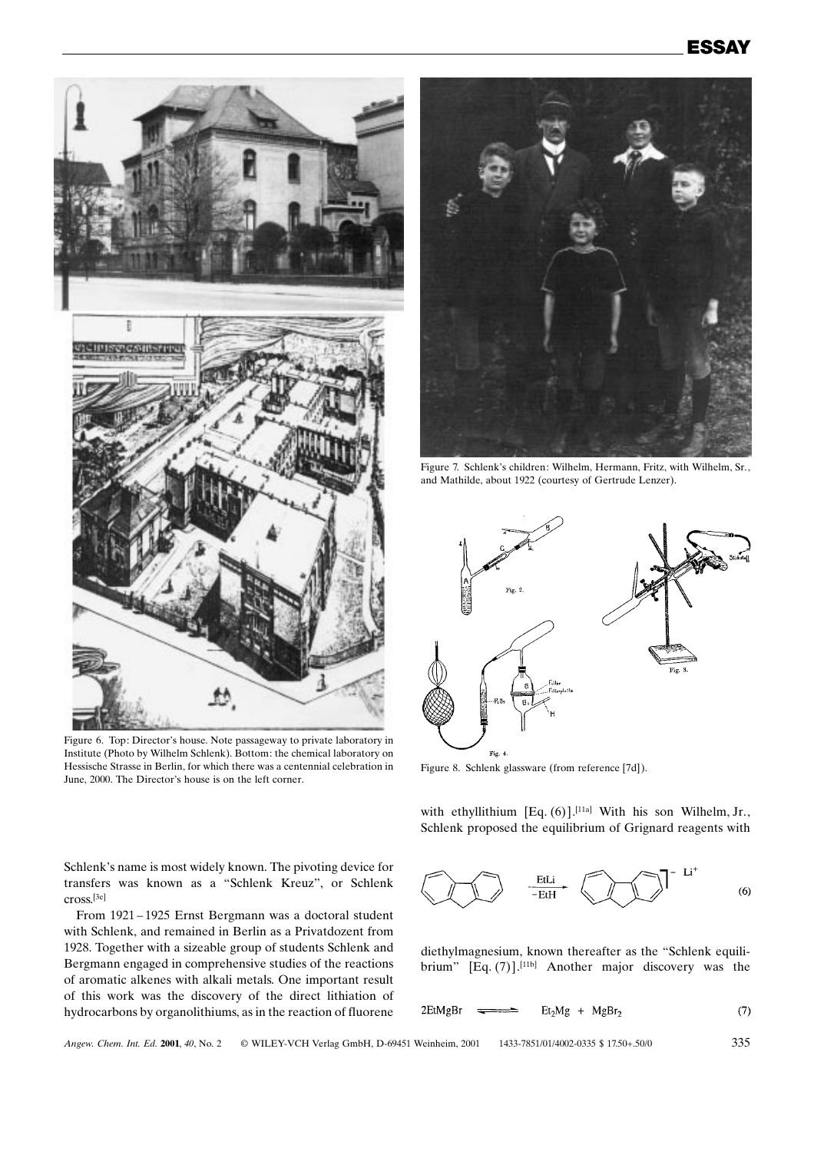

Figure 6. Top: Director's house. Note passageway to private laboratory in Institute (Photo by Wilhelm Schlenk). Bottom: the chemical laboratory on Hessische Strasse in Berlin, for which there was a centennial celebration in June, 2000. The Director's house is on the left corner.

Schlenk's name is most widely known. The pivoting device for transfers was known as a "Schlenk Kreuz", or Schlenk cross. [3e]

From 1921-1925 Ernst Bergmann was a doctoral student with Schlenk, and remained in Berlin as a Privatdozent from 1928. Together with a sizeable group of students Schlenk and Bergmann engaged in comprehensive studies of the reactions of aromatic alkenes with alkali metals. One important result of this work was the discovery of the direct lithiation of hydrocarbons by organolithiums, as in the reaction of fluorene



Figure 7. Schlenk's children: Wilhelm, Hermann, Fritz, with Wilhelm, Sr., and Mathilde, about 1922 (courtesy of Gertrude Lenzer).



Figure 8. Schlenk glassware (from reference [7d]).

with ethyllithium [Eq. (6)].<sup>[11a]</sup> With his son Wilhelm, Jr., Schlenk proposed the equilibrium of Grignard reagents with



diethylmagnesium, known thereafter as the "Schlenk equilibrium" [Eq. (7)].<sup>[11b]</sup> Another major discovery was the

$$
2EtMgBr \quad \longrightarrow \quad Et_2Mg + MgBr_2 \tag{7}
$$

Angew. Chem. Int. Ed. 2001, 40, No. 2 WILEY-VCH Verlag GmbH, D-69451 Weinheim, 2001 1433-7851/01/4002-0335 \$ 17.50+.50/0 335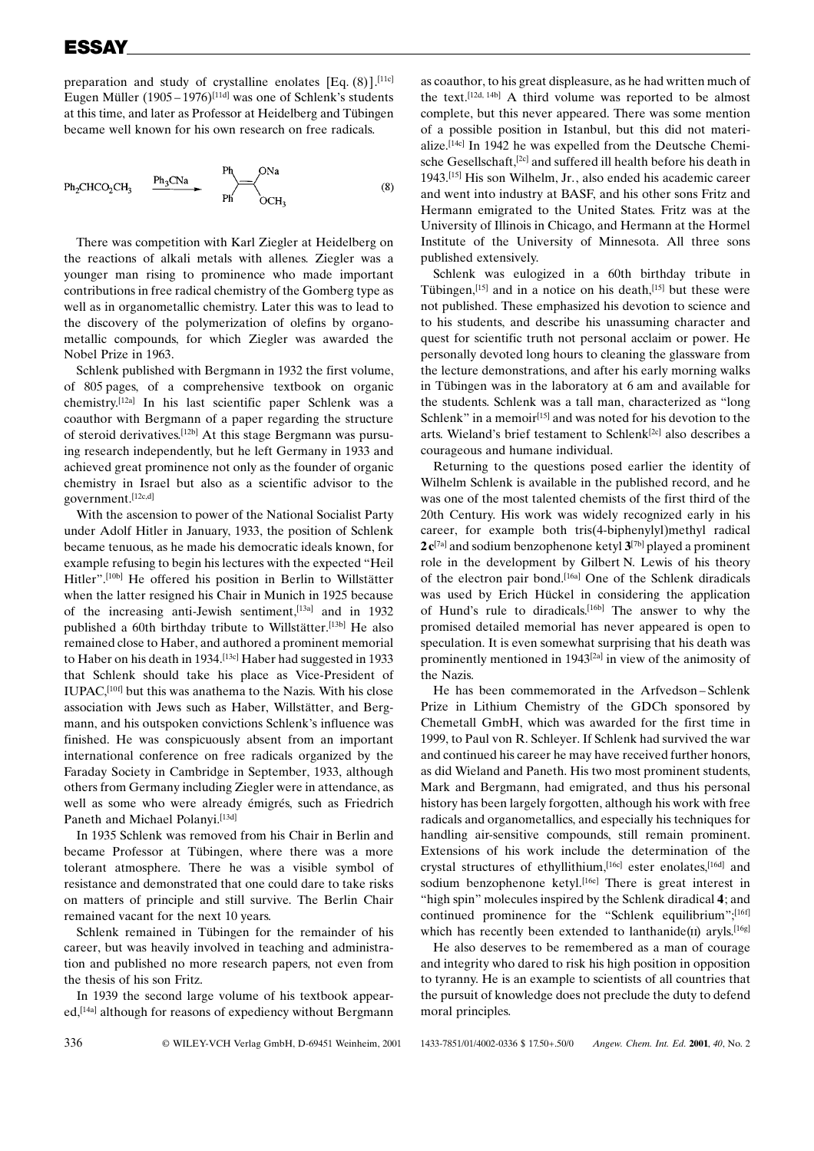preparation and study of crystalline enolates  $[Eq. (8)]$ .<sup>[11c]</sup> Eugen Müller  $(1905 - 1976)^{[11d]}$  was one of Schlenk's students at this time, and later as Professor at Heidelberg and Tübingen became well known for his own research on free radicals.

$$
Ph_2CHCO_2CH_3 \xrightarrow{Ph_3CNa} \xrightarrow{Ph} \searrow^{ONa} \searrow^{ONa}
$$
 (8)

There was competition with Karl Ziegler at Heidelberg on the reactions of alkali metals with allenes. Ziegler was a younger man rising to prominence who made important contributions in free radical chemistry of the Gomberg type as well as in organometallic chemistry. Later this was to lead to the discovery of the polymerization of olefins by organometallic compounds, for which Ziegler was awarded the Nobel Prize in 1963.

Schlenk published with Bergmann in 1932 the first volume, of 805 pages, of a comprehensive textbook on organic chemistry. [12a] In his last scientific paper Schlenk was a coauthor with Bergmann of a paper regarding the structure of steroid derivatives.<sup>[12b]</sup> At this stage Bergmann was pursuing research independently, but he left Germany in 1933 and achieved great prominence not only as the founder of organic chemistry in Israel but also as a scientific advisor to the government.[12c,d]

With the ascension to power of the National Socialist Party under Adolf Hitler in January, 1933, the position of Schlenk became tenuous, as he made his democratic ideals known, for example refusing to begin his lectures with the expected "Heil Hitler".<sup>[10b]</sup> He offered his position in Berlin to Willstätter when the latter resigned his Chair in Munich in 1925 because of the increasing anti-Jewish sentiment,<sup>[13a]</sup> and in 1932 published a 60th birthday tribute to Willstätter.<sup>[13b]</sup> He also remained close to Haber, and authored a prominent memorial to Haber on his death in 1934.[13c] Haber had suggested in 1933 that Schlenk should take his place as Vice-President of IUPAC, [10f] but this was anathema to the Nazis. With his close association with Jews such as Haber, Willstätter, and Bergmann, and his outspoken convictions Schlenk's influence was finished. He was conspicuously absent from an important international conference on free radicals organized by the Faraday Society in Cambridge in September, 1933, although others from Germany including Ziegler were in attendance, as well as some who were already émigrés, such as Friedrich Paneth and Michael Polanyi.<sup>[13d]</sup>

In 1935 Schlenk was removed from his Chair in Berlin and became Professor at Tübingen, where there was a more tolerant atmosphere. There he was a visible symbol of resistance and demonstrated that one could dare to take risks on matters of principle and still survive. The Berlin Chair remained vacant for the next 10 years.

Schlenk remained in Tübingen for the remainder of his career, but was heavily involved in teaching and administration and published no more research papers, not even from the thesis of his son Fritz.

In 1939 the second large volume of his textbook appeared,[14a] although for reasons of expediency without Bergmann as coauthor, to his great displeasure, as he had written much of the text.[12d, 14b] A third volume was reported to be almost complete, but this never appeared. There was some mention of a possible position in Istanbul, but this did not materialize. [14c] In 1942 he was expelled from the Deutsche Chemische Gesellschaft,[2c] and suffered ill health before his death in 1943.[15] His son Wilhelm, Jr., also ended his academic career and went into industry at BASF, and his other sons Fritz and Hermann emigrated to the United States. Fritz was at the University of Illinois in Chicago, and Hermann at the Hormel Institute of the University of Minnesota. All three sons published extensively.

Schlenk was eulogized in a 60th birthday tribute in Tübingen,[15] and in a notice on his death,[15] but these were not published. These emphasized his devotion to science and to his students, and describe his unassuming character and quest for scientific truth not personal acclaim or power. He personally devoted long hours to cleaning the glassware from the lecture demonstrations, and after his early morning walks in Tübingen was in the laboratory at 6 am and available for the students. Schlenk was a tall man, characterized as "long" Schlenk" in a memoir $[15]$  and was noted for his devotion to the arts. Wieland's brief testament to Schlenk<sup>[2c]</sup> also describes a courageous and humane individual.

Returning to the questions posed earlier the identity of Wilhelm Schlenk is available in the published record, and he was one of the most talented chemists of the first third of the 20th Century. His work was widely recognized early in his career, for example both tris(4-biphenylyl)methyl radical  $2c^{[7a]}$  and sodium benzophenone ketyl  $3^{[7b]}$  played a prominent role in the development by Gilbert N. Lewis of his theory of the electron pair bond.[16a] One of the Schlenk diradicals was used by Erich Hückel in considering the application of Hund's rule to diradicals.<sup>[16b]</sup> The answer to why the promised detailed memorial has never appeared is open to speculation. It is even somewhat surprising that his death was prominently mentioned in 1943[2a] in view of the animosity of the Nazis.

He has been commemorated in the Arfvedson-Schlenk Prize in Lithium Chemistry of the GDCh sponsored by Chemetall GmbH, which was awarded for the first time in 1999, to Paul von R. Schleyer. If Schlenk had survived the war and continued his career he may have received further honors, as did Wieland and Paneth. His two most prominent students, Mark and Bergmann, had emigrated, and thus his personal history has been largely forgotten, although his work with free radicals and organometallics, and especially his techniques for handling air-sensitive compounds, still remain prominent. Extensions of his work include the determination of the crystal structures of ethyllithium, [16c] ester enolates, [16d] and sodium benzophenone ketyl.<sup>[16e]</sup> There is great interest in "high spin" molecules inspired by the Schlenk diradical 4; and continued prominence for the "Schlenk equilibrium";[16f] which has recently been extended to lanthanide(II) aryls.<sup>[16g]</sup>

He also deserves to be remembered as a man of courage and integrity who dared to risk his high position in opposition to tyranny. He is an example to scientists of all countries that the pursuit of knowledge does not preclude the duty to defend moral principles.